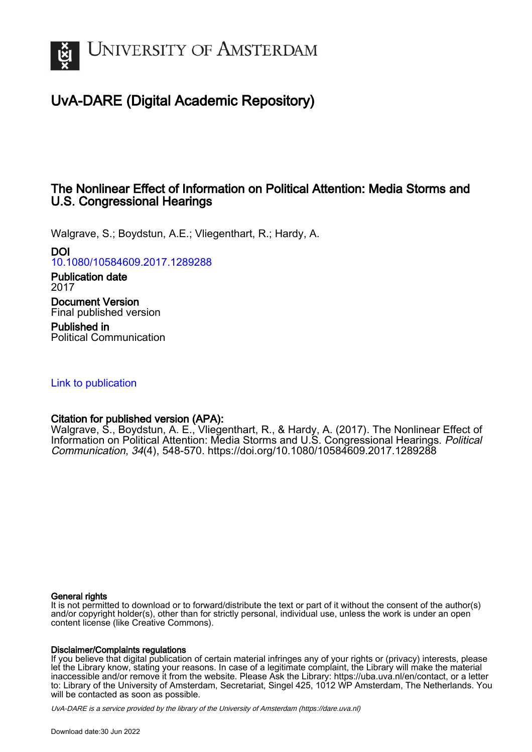

# UvA-DARE (Digital Academic Repository)

## The Nonlinear Effect of Information on Political Attention: Media Storms and U.S. Congressional Hearings

Walgrave, S.; Boydstun, A.E.; Vliegenthart, R.; Hardy, A.

DOI

[10.1080/10584609.2017.1289288](https://doi.org/10.1080/10584609.2017.1289288)

Publication date 2017

Document Version Final published version

Published in Political Communication

[Link to publication](https://dare.uva.nl/personal/pure/en/publications/the-nonlinear-effect-of-information-on-political-attention-media-storms-and-us-congressional-hearings(a9379c97-f27b-41df-8767-8df342651d96).html)

## Citation for published version (APA):

Walgrave, S., Boydstun, A. E., Vliegenthart, R., & Hardy, A. (2017). The Nonlinear Effect of Information on Political Attention: Media Storms and U.S. Congressional Hearings. Political Communication, 34(4), 548-570.<https://doi.org/10.1080/10584609.2017.1289288>

#### General rights

It is not permitted to download or to forward/distribute the text or part of it without the consent of the author(s) and/or copyright holder(s), other than for strictly personal, individual use, unless the work is under an open content license (like Creative Commons).

#### Disclaimer/Complaints regulations

If you believe that digital publication of certain material infringes any of your rights or (privacy) interests, please let the Library know, stating your reasons. In case of a legitimate complaint, the Library will make the material inaccessible and/or remove it from the website. Please Ask the Library: https://uba.uva.nl/en/contact, or a letter to: Library of the University of Amsterdam, Secretariat, Singel 425, 1012 WP Amsterdam, The Netherlands. You will be contacted as soon as possible.

UvA-DARE is a service provided by the library of the University of Amsterdam (http*s*://dare.uva.nl)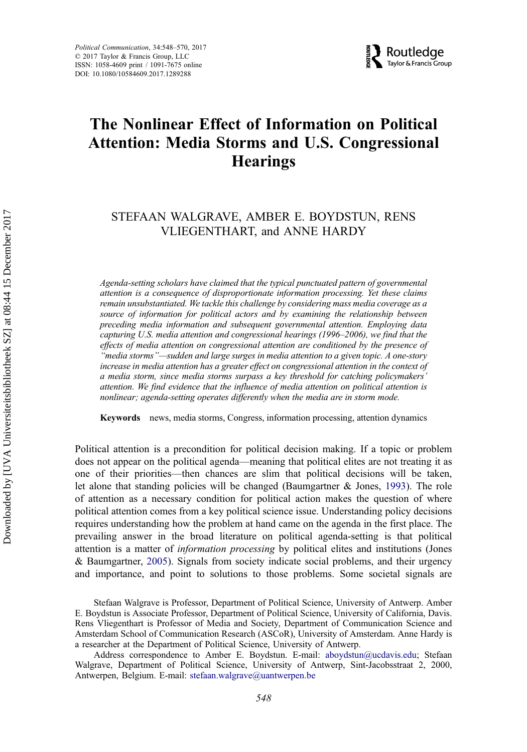

# The Nonlinear Effect of Information on Political Attention: Media Storms and U.S. Congressional **Hearings**

## STEFAAN WALGRAVE, AMBER E. BOYDSTUN, RENS VLIEGENTHART, and ANNE HARDY

Agenda-setting scholars have claimed that the typical punctuated pattern of governmental attention is a consequence of disproportionate information processing. Yet these claims remain unsubstantiated. We tackle this challenge by considering mass media coverage as a source of information for political actors and by examining the relationship between preceding media information and subsequent governmental attention. Employing data capturing U.S. media attention and congressional hearings (1996–2006), we find that the effects of media attention on congressional attention are conditioned by the presence of "media storms"—sudden and large surges in media attention to a given topic. A one-story increase in media attention has a greater effect on congressional attention in the context of a media storm, since media storms surpass a key threshold for catching policymakers' attention. We find evidence that the influence of media attention on political attention is nonlinear; agenda-setting operates differently when the media are in storm mode.

Keywords news, media storms, Congress, information processing, attention dynamics

Political attention is a precondition for political decision making. If a topic or problem does not appear on the political agenda—meaning that political elites are not treating it as one of their priorities—then chances are slim that political decisions will be taken, let alone that standing policies will be changed (Baumgartner & Jones, [1993](#page-18-0)). The role of attention as a necessary condition for political action makes the question of where political attention comes from a key political science issue. Understanding policy decisions requires understanding how the problem at hand came on the agenda in the first place. The prevailing answer in the broad literature on political agenda-setting is that political attention is a matter of information processing by political elites and institutions (Jones & Baumgartner, [2005](#page-18-0)). Signals from society indicate social problems, and their urgency and importance, and point to solutions to those problems. Some societal signals are

Stefaan Walgrave is Professor, Department of Political Science, University of Antwerp. Amber E. Boydstun is Associate Professor, Department of Political Science, University of California, Davis. Rens Vliegenthart is Professor of Media and Society, Department of Communication Science and Amsterdam School of Communication Research (ASCoR), University of Amsterdam. Anne Hardy is a researcher at the Department of Political Science, University of Antwerp.

Address correspondence to Amber E. Boydstun. E-mail: [aboydstun@ucdavis.edu](mailto:aboydstun@ucdavis.edu); Stefaan Walgrave, Department of Political Science, University of Antwerp, Sint-Jacobsstraat 2, 2000, Antwerpen, Belgium. E-mail: [stefaan.walgrave@uantwerpen.be](mailto:stefaan.walgrave@uantwerpen.be)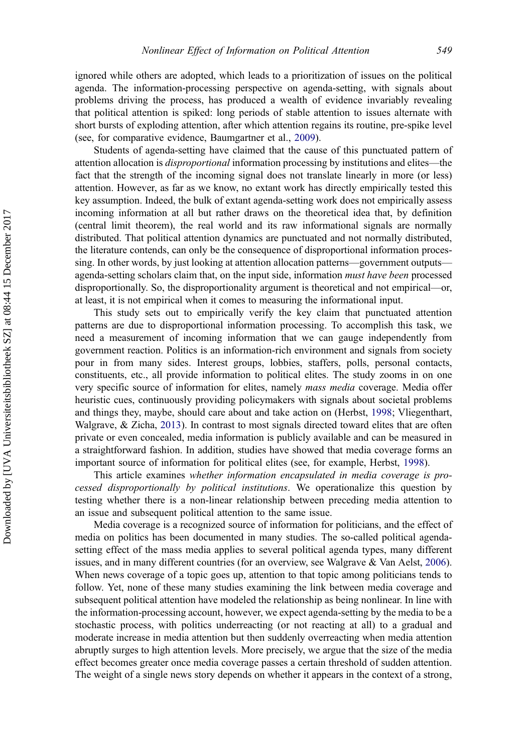ignored while others are adopted, which leads to a prioritization of issues on the political agenda. The information-processing perspective on agenda-setting, with signals about problems driving the process, has produced a wealth of evidence invariably revealing that political attention is spiked: long periods of stable attention to issues alternate with short bursts of exploding attention, after which attention regains its routine, pre-spike level (see, for comparative evidence, Baumgartner et al., [2009\)](#page-17-0).

Students of agenda-setting have claimed that the cause of this punctuated pattern of attention allocation is disproportional information processing by institutions and elites—the fact that the strength of the incoming signal does not translate linearly in more (or less) attention. However, as far as we know, no extant work has directly empirically tested this key assumption. Indeed, the bulk of extant agenda-setting work does not empirically assess incoming information at all but rather draws on the theoretical idea that, by definition (central limit theorem), the real world and its raw informational signals are normally distributed. That political attention dynamics are punctuated and not normally distributed, the literature contends, can only be the consequence of disproportional information processing. In other words, by just looking at attention allocation patterns—government outputs agenda-setting scholars claim that, on the input side, information must have been processed disproportionally. So, the disproportionality argument is theoretical and not empirical—or, at least, it is not empirical when it comes to measuring the informational input.

This study sets out to empirically verify the key claim that punctuated attention patterns are due to disproportional information processing. To accomplish this task, we need a measurement of incoming information that we can gauge independently from government reaction. Politics is an information-rich environment and signals from society pour in from many sides. Interest groups, lobbies, staffers, polls, personal contacts, constituents, etc., all provide information to political elites. The study zooms in on one very specific source of information for elites, namely mass media coverage. Media offer heuristic cues, continuously providing policymakers with signals about societal problems and things they, maybe, should care about and take action on (Herbst, [1998;](#page-18-0) Vliegenthart, Walgrave, & Zicha, [2013](#page-19-0)). In contrast to most signals directed toward elites that are often private or even concealed, media information is publicly available and can be measured in a straightforward fashion. In addition, studies have showed that media coverage forms an important source of information for political elites (see, for example, Herbst, [1998\)](#page-18-0).

This article examines whether information encapsulated in media coverage is processed disproportionally by political institutions. We operationalize this question by testing whether there is a non-linear relationship between preceding media attention to an issue and subsequent political attention to the same issue.

Media coverage is a recognized source of information for politicians, and the effect of media on politics has been documented in many studies. The so-called political agendasetting effect of the mass media applies to several political agenda types, many different issues, and in many different countries (for an overview, see Walgrave & Van Aelst, [2006\)](#page-20-0). When news coverage of a topic goes up, attention to that topic among politicians tends to follow. Yet, none of these many studies examining the link between media coverage and subsequent political attention have modeled the relationship as being nonlinear. In line with the information-processing account, however, we expect agenda-setting by the media to be a stochastic process, with politics underreacting (or not reacting at all) to a gradual and moderate increase in media attention but then suddenly overreacting when media attention abruptly surges to high attention levels. More precisely, we argue that the size of the media effect becomes greater once media coverage passes a certain threshold of sudden attention. The weight of a single news story depends on whether it appears in the context of a strong,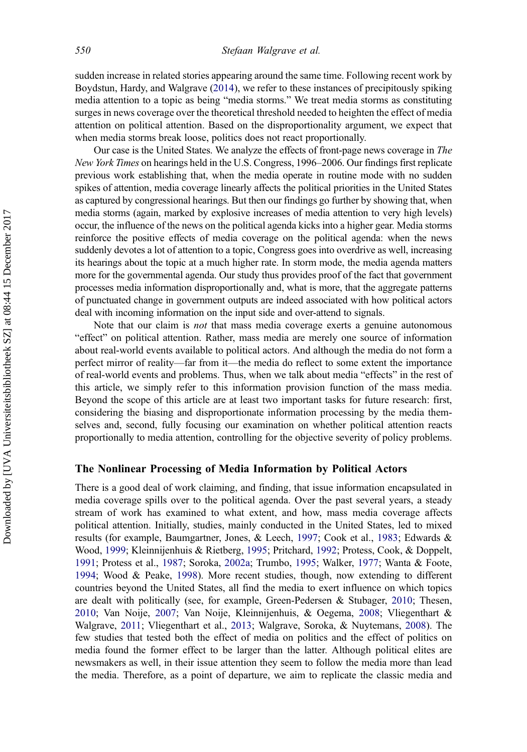sudden increase in related stories appearing around the same time. Following recent work by Boydstun, Hardy, and Walgrave ([2014\)](#page-18-0), we refer to these instances of precipitously spiking media attention to a topic as being "media storms." We treat media storms as constituting surges in news coverage over the theoretical threshold needed to heighten the effect of media attention on political attention. Based on the disproportionality argument, we expect that when media storms break loose, politics does not react proportionally.

Our case is the United States. We analyze the effects of front-page news coverage in The New York Times on hearings held in the U.S. Congress, 1996–2006. Our findings first replicate previous work establishing that, when the media operate in routine mode with no sudden spikes of attention, media coverage linearly affects the political priorities in the United States as captured by congressional hearings. But then our findings go further by showing that, when media storms (again, marked by explosive increases of media attention to very high levels) occur, the influence of the news on the political agenda kicks into a higher gear. Media storms reinforce the positive effects of media coverage on the political agenda: when the news suddenly devotes a lot of attention to a topic, Congress goes into overdrive as well, increasing its hearings about the topic at a much higher rate. In storm mode, the media agenda matters more for the governmental agenda. Our study thus provides proof of the fact that government processes media information disproportionally and, what is more, that the aggregate patterns of punctuated change in government outputs are indeed associated with how political actors deal with incoming information on the input side and over-attend to signals.

Note that our claim is *not* that mass media coverage exerts a genuine autonomous "effect" on political attention. Rather, mass media are merely one source of information about real-world events available to political actors. And although the media do not form a perfect mirror of reality—far from it—the media do reflect to some extent the importance of real-world events and problems. Thus, when we talk about media "effects" in the rest of this article, we simply refer to this information provision function of the mass media. Beyond the scope of this article are at least two important tasks for future research: first, considering the biasing and disproportionate information processing by the media themselves and, second, fully focusing our examination on whether political attention reacts proportionally to media attention, controlling for the objective severity of policy problems.

### The Nonlinear Processing of Media Information by Political Actors

There is a good deal of work claiming, and finding, that issue information encapsulated in media coverage spills over to the political agenda. Over the past several years, a steady stream of work has examined to what extent, and how, mass media coverage affects political attention. Initially, studies, mainly conducted in the United States, led to mixed results (for example, Baumgartner, Jones, & Leech, [1997;](#page-18-0) Cook et al., [1983;](#page-18-0) Edwards & Wood, [1999](#page-18-0); Kleinnijenhuis & Rietberg, [1995;](#page-19-0) Pritchard, [1992](#page-19-0); Protess, Cook, & Doppelt, [1991;](#page-19-0) Protess et al., [1987;](#page-19-0) Soroka, [2002a](#page-19-0); Trumbo, [1995](#page-19-0); Walker, [1977](#page-20-0); Wanta & Foote, [1994;](#page-20-0) Wood & Peake, [1998](#page-20-0)). More recent studies, though, now extending to different countries beyond the United States, all find the media to exert influence on which topics are dealt with politically (see, for example, Green-Pedersen & Stubager, [2010;](#page-18-0) Thesen, [2010;](#page-19-0) Van Noije, [2007](#page-19-0); Van Noije, Kleinnijenhuis, & Oegema, [2008](#page-19-0); Vliegenthart & Walgrave, [2011](#page-19-0); Vliegenthart et al., [2013;](#page-19-0) Walgrave, Soroka, & Nuytemans, [2008\)](#page-19-0). The few studies that tested both the effect of media on politics and the effect of politics on media found the former effect to be larger than the latter. Although political elites are newsmakers as well, in their issue attention they seem to follow the media more than lead the media. Therefore, as a point of departure, we aim to replicate the classic media and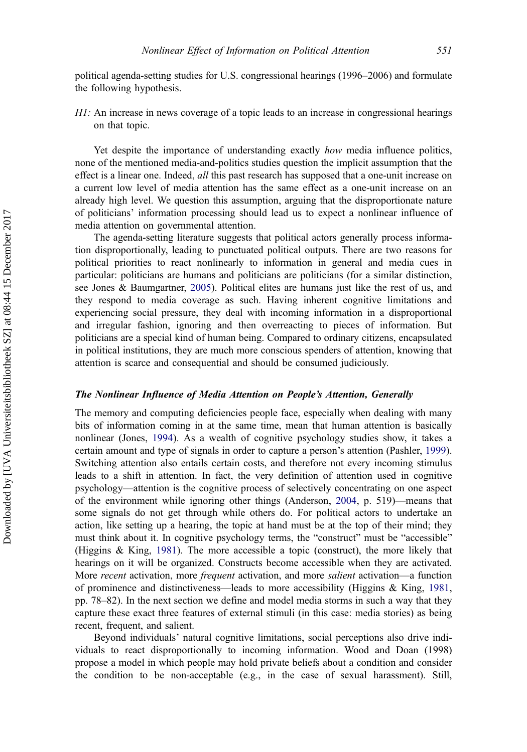political agenda-setting studies for U.S. congressional hearings (1996–2006) and formulate the following hypothesis.

 $H1$ : An increase in news coverage of a topic leads to an increase in congressional hearings on that topic.

Yet despite the importance of understanding exactly *how* media influence politics, none of the mentioned media-and-politics studies question the implicit assumption that the effect is a linear one. Indeed, *all* this past research has supposed that a one-unit increase on a current low level of media attention has the same effect as a one-unit increase on an already high level. We question this assumption, arguing that the disproportionate nature of politicians' information processing should lead us to expect a nonlinear influence of media attention on governmental attention.

The agenda-setting literature suggests that political actors generally process information disproportionally, leading to punctuated political outputs. There are two reasons for political priorities to react nonlinearly to information in general and media cues in particular: politicians are humans and politicians are politicians (for a similar distinction, see Jones & Baumgartner, [2005](#page-18-0)). Political elites are humans just like the rest of us, and they respond to media coverage as such. Having inherent cognitive limitations and experiencing social pressure, they deal with incoming information in a disproportional and irregular fashion, ignoring and then overreacting to pieces of information. But politicians are a special kind of human being. Compared to ordinary citizens, encapsulated in political institutions, they are much more conscious spenders of attention, knowing that attention is scarce and consequential and should be consumed judiciously.

#### The Nonlinear Influence of Media Attention on People's Attention, Generally

The memory and computing deficiencies people face, especially when dealing with many bits of information coming in at the same time, mean that human attention is basically nonlinear (Jones, [1994\)](#page-18-0). As a wealth of cognitive psychology studies show, it takes a certain amount and type of signals in order to capture a person's attention (Pashler, [1999\)](#page-19-0). Switching attention also entails certain costs, and therefore not every incoming stimulus leads to a shift in attention. In fact, the very definition of attention used in cognitive psychology—attention is the cognitive process of selectively concentrating on one aspect of the environment while ignoring other things (Anderson, [2004](#page-17-0), p. 519)—means that some signals do not get through while others do. For political actors to undertake an action, like setting up a hearing, the topic at hand must be at the top of their mind; they must think about it. In cognitive psychology terms, the "construct" must be "accessible" (Higgins & King, [1981](#page-18-0)). The more accessible a topic (construct), the more likely that hearings on it will be organized. Constructs become accessible when they are activated. More *recent* activation, more *frequent* activation, and more *salient* activation—a function of prominence and distinctiveness—leads to more accessibility (Higgins & King, [1981,](#page-18-0) pp. 78–82). In the next section we define and model media storms in such a way that they capture these exact three features of external stimuli (in this case: media stories) as being recent, frequent, and salient.

Beyond individuals' natural cognitive limitations, social perceptions also drive individuals to react disproportionally to incoming information. Wood and Doan (1998) propose a model in which people may hold private beliefs about a condition and consider the condition to be non-acceptable (e.g., in the case of sexual harassment). Still,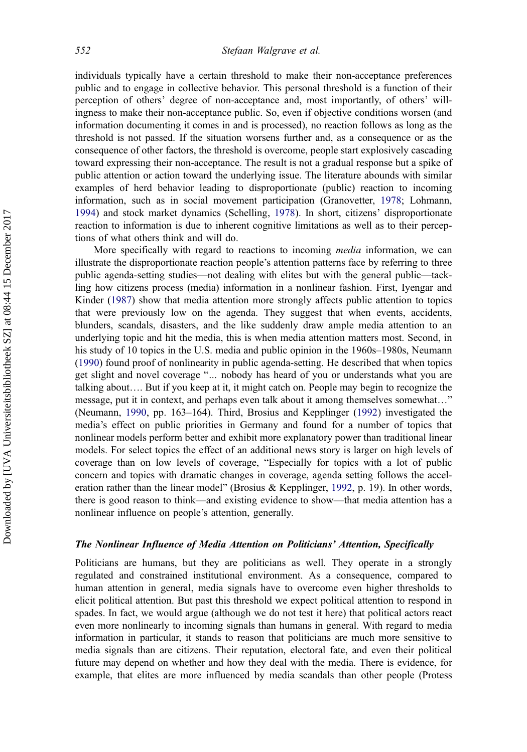individuals typically have a certain threshold to make their non-acceptance preferences public and to engage in collective behavior. This personal threshold is a function of their perception of others' degree of non-acceptance and, most importantly, of others' willingness to make their non-acceptance public. So, even if objective conditions worsen (and information documenting it comes in and is processed), no reaction follows as long as the threshold is not passed. If the situation worsens further and, as a consequence or as the consequence of other factors, the threshold is overcome, people start explosively cascading toward expressing their non-acceptance. The result is not a gradual response but a spike of public attention or action toward the underlying issue. The literature abounds with similar examples of herd behavior leading to disproportionate (public) reaction to incoming information, such as in social movement participation (Granovetter, [1978;](#page-18-0) Lohmann, [1994\)](#page-19-0) and stock market dynamics (Schelling, [1978](#page-19-0)). In short, citizens' disproportionate reaction to information is due to inherent cognitive limitations as well as to their perceptions of what others think and will do.

More specifically with regard to reactions to incoming *media* information, we can illustrate the disproportionate reaction people's attention patterns face by referring to three public agenda-setting studies—not dealing with elites but with the general public—tackling how citizens process (media) information in a nonlinear fashion. First, Iyengar and Kinder [\(1987\)](#page-18-0) show that media attention more strongly affects public attention to topics that were previously low on the agenda. They suggest that when events, accidents, blunders, scandals, disasters, and the like suddenly draw ample media attention to an underlying topic and hit the media, this is when media attention matters most. Second, in his study of 10 topics in the U.S. media and public opinion in the 1960s–1980s, Neumann ([1990\)](#page-19-0) found proof of nonlinearity in public agenda-setting. He described that when topics get slight and novel coverage "… nobody has heard of you or understands what you are talking about…. But if you keep at it, it might catch on. People may begin to recognize the message, put it in context, and perhaps even talk about it among themselves somewhat…" (Neumann, [1990](#page-19-0), pp. 163–164). Third, Brosius and Kepplinger [\(1992](#page-18-0)) investigated the media's effect on public priorities in Germany and found for a number of topics that nonlinear models perform better and exhibit more explanatory power than traditional linear models. For select topics the effect of an additional news story is larger on high levels of coverage than on low levels of coverage, "Especially for topics with a lot of public concern and topics with dramatic changes in coverage, agenda setting follows the acceleration rather than the linear model" (Brosius & Kepplinger, [1992,](#page-18-0) p. 19). In other words, there is good reason to think—and existing evidence to show—that media attention has a nonlinear influence on people's attention, generally.

#### The Nonlinear Influence of Media Attention on Politicians' Attention, Specifically

Politicians are humans, but they are politicians as well. They operate in a strongly regulated and constrained institutional environment. As a consequence, compared to human attention in general, media signals have to overcome even higher thresholds to elicit political attention. But past this threshold we expect political attention to respond in spades. In fact, we would argue (although we do not test it here) that political actors react even more nonlinearly to incoming signals than humans in general. With regard to media information in particular, it stands to reason that politicians are much more sensitive to media signals than are citizens. Their reputation, electoral fate, and even their political future may depend on whether and how they deal with the media. There is evidence, for example, that elites are more influenced by media scandals than other people (Protess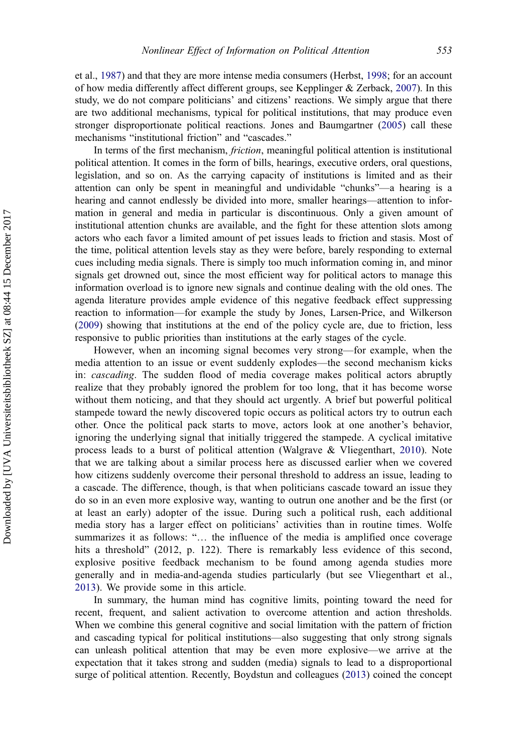et al., [1987](#page-19-0)) and that they are more intense media consumers (Herbst, [1998](#page-18-0); for an account of how media differently affect different groups, see Kepplinger & Zerback, [2007\)](#page-18-0). In this study, we do not compare politicians' and citizens' reactions. We simply argue that there are two additional mechanisms, typical for political institutions, that may produce even stronger disproportionate political reactions. Jones and Baumgartner ([2005\)](#page-18-0) call these mechanisms "institutional friction" and "cascades."

In terms of the first mechanism, friction, meaningful political attention is institutional political attention. It comes in the form of bills, hearings, executive orders, oral questions, legislation, and so on. As the carrying capacity of institutions is limited and as their attention can only be spent in meaningful and undividable "chunks"—a hearing is a hearing and cannot endlessly be divided into more, smaller hearings—attention to information in general and media in particular is discontinuous. Only a given amount of institutional attention chunks are available, and the fight for these attention slots among actors who each favor a limited amount of pet issues leads to friction and stasis. Most of the time, political attention levels stay as they were before, barely responding to external cues including media signals. There is simply too much information coming in, and minor signals get drowned out, since the most efficient way for political actors to manage this information overload is to ignore new signals and continue dealing with the old ones. The agenda literature provides ample evidence of this negative feedback effect suppressing reaction to information—for example the study by Jones, Larsen-Price, and Wilkerson ([2009\)](#page-18-0) showing that institutions at the end of the policy cycle are, due to friction, less responsive to public priorities than institutions at the early stages of the cycle.

However, when an incoming signal becomes very strong—for example, when the media attention to an issue or event suddenly explodes—the second mechanism kicks in: *cascading*. The sudden flood of media coverage makes political actors abruptly realize that they probably ignored the problem for too long, that it has become worse without them noticing, and that they should act urgently. A brief but powerful political stampede toward the newly discovered topic occurs as political actors try to outrun each other. Once the political pack starts to move, actors look at one another's behavior, ignoring the underlying signal that initially triggered the stampede. A cyclical imitative process leads to a burst of political attention (Walgrave & Vliegenthart, [2010\)](#page-20-0). Note that we are talking about a similar process here as discussed earlier when we covered how citizens suddenly overcome their personal threshold to address an issue, leading to a cascade. The difference, though, is that when politicians cascade toward an issue they do so in an even more explosive way, wanting to outrun one another and be the first (or at least an early) adopter of the issue. During such a political rush, each additional media story has a larger effect on politicians' activities than in routine times. Wolfe summarizes it as follows: "… the influence of the media is amplified once coverage hits a threshold" (2012, p. 122). There is remarkably less evidence of this second, explosive positive feedback mechanism to be found among agenda studies more generally and in media-and-agenda studies particularly (but see Vliegenthart et al., [2013](#page-19-0)). We provide some in this article.

In summary, the human mind has cognitive limits, pointing toward the need for recent, frequent, and salient activation to overcome attention and action thresholds. When we combine this general cognitive and social limitation with the pattern of friction and cascading typical for political institutions—also suggesting that only strong signals can unleash political attention that may be even more explosive—we arrive at the expectation that it takes strong and sudden (media) signals to lead to a disproportional surge of political attention. Recently, Boydstun and colleagues [\(2013](#page-18-0)) coined the concept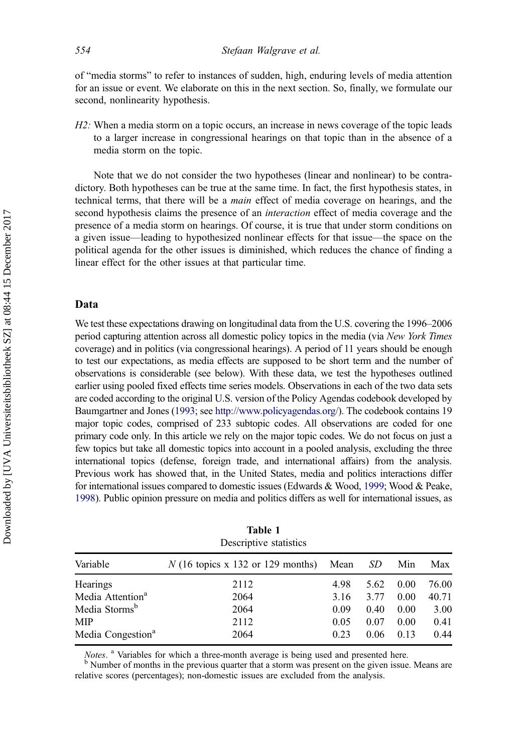<span id="page-7-0"></span>of "media storms" to refer to instances of sudden, high, enduring levels of media attention for an issue or event. We elaborate on this in the next section. So, finally, we formulate our second, nonlinearity hypothesis.

 $H2$ : When a media storm on a topic occurs, an increase in news coverage of the topic leads to a larger increase in congressional hearings on that topic than in the absence of a media storm on the topic.

Note that we do not consider the two hypotheses (linear and nonlinear) to be contradictory. Both hypotheses can be true at the same time. In fact, the first hypothesis states, in technical terms, that there will be a main effect of media coverage on hearings, and the second hypothesis claims the presence of an interaction effect of media coverage and the presence of a media storm on hearings. Of course, it is true that under storm conditions on a given issue—leading to hypothesized nonlinear effects for that issue—the space on the political agenda for the other issues is diminished, which reduces the chance of finding a linear effect for the other issues at that particular time.

#### Data

We test these expectations drawing on longitudinal data from the U.S. covering the 1996–2006 period capturing attention across all domestic policy topics in the media (via New York Times coverage) and in politics (via congressional hearings). A period of 11 years should be enough to test our expectations, as media effects are supposed to be short term and the number of observations is considerable (see below). With these data, we test the hypotheses outlined earlier using pooled fixed effects time series models. Observations in each of the two data sets are coded according to the original U.S. version of the Policy Agendas codebook developed by Baumgartner and Jones [\(1993](#page-18-0); see <http://www.policyagendas.org/>). The codebook contains 19 major topic codes, comprised of 233 subtopic codes. All observations are coded for one primary code only. In this article we rely on the major topic codes. We do not focus on just a few topics but take all domestic topics into account in a pooled analysis, excluding the three international topics (defense, foreign trade, and international affairs) from the analysis. Previous work has showed that, in the United States, media and politics interactions differ for international issues compared to domestic issues (Edwards & Wood, [1999](#page-18-0); Wood & Peake, [1998](#page-20-0)). Public opinion pressure on media and politics differs as well for international issues, as

|                               | Descriptive statistics                                            |      |      |      |       |
|-------------------------------|-------------------------------------------------------------------|------|------|------|-------|
| Variable                      | $N(16 \text{ topics } x 132 \text{ or } 129 \text{ months})$ Mean |      | SD.  | Min  | Max   |
| Hearings                      | 2112                                                              | 4.98 | 5.62 | 0.00 | 76.00 |
| Media Attention <sup>a</sup>  | 2064                                                              | 3.16 | 3.77 | 0.00 | 40.71 |
| Media Storms <sup>b</sup>     | 2064                                                              | 0.09 | 0.40 | 0.00 | 3.00  |
| <b>MIP</b>                    | 2112                                                              | 0.05 | 0.07 | 0.00 | 0.41  |
| Media Congestion <sup>a</sup> | 2064                                                              | 0.23 | 0.06 | 0.13 | 0.44  |

| Table 1                |
|------------------------|
| Descriptive statistics |

Notes. <sup>a</sup> Variables for which a three-month average is being used and presented here.<br><sup>b</sup> Number of months in the previous quarter that a storm was present on the given issue. Means are relative scores (percentages); non-domestic issues are excluded from the analysis.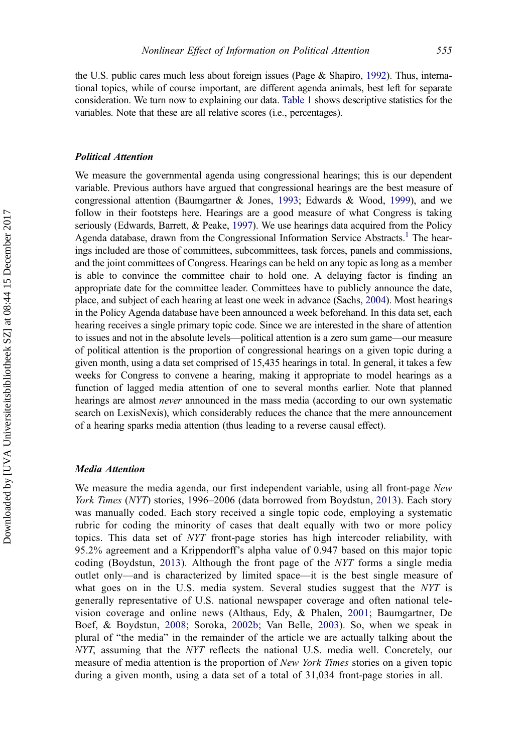the U.S. public cares much less about foreign issues (Page & Shapiro, [1992](#page-19-0)). Thus, international topics, while of course important, are different agenda animals, best left for separate consideration. We turn now to explaining our data. [Table 1](#page-7-0) shows descriptive statistics for the variables. Note that these are all relative scores (i.e., percentages).

#### Political Attention

We measure the governmental agenda using congressional hearings; this is our dependent variable. Previous authors have argued that congressional hearings are the best measure of congressional attention (Baumgartner & Jones, [1993](#page-18-0); Edwards & Wood, [1999](#page-18-0)), and we follow in their footsteps here. Hearings are a good measure of what Congress is taking seriously (Edwards, Barrett, & Peake, [1997\)](#page-18-0). We use hearings data acquired from the Policy Agenda database, drawn from the Congressional Information Service Abstracts.<sup>1</sup> The hearings included are those of committees, subcommittees, task forces, panels and commissions, and the joint committees of Congress. Hearings can be held on any topic as long as a member is able to convince the committee chair to hold one. A delaying factor is finding an appropriate date for the committee leader. Committees have to publicly announce the date, place, and subject of each hearing at least one week in advance (Sachs, [2004](#page-19-0)). Most hearings in the Policy Agenda database have been announced a week beforehand. In this data set, each hearing receives a single primary topic code. Since we are interested in the share of attention to issues and not in the absolute levels—political attention is a zero sum game—our measure of political attention is the proportion of congressional hearings on a given topic during a given month, using a data set comprised of 15,435 hearings in total. In general, it takes a few weeks for Congress to convene a hearing, making it appropriate to model hearings as a function of lagged media attention of one to several months earlier. Note that planned hearings are almost *never* announced in the mass media (according to our own systematic search on LexisNexis), which considerably reduces the chance that the mere announcement of a hearing sparks media attention (thus leading to a reverse causal effect).

#### Media Attention

We measure the media agenda, our first independent variable, using all front-page New York Times (NYT) stories, 1996–2006 (data borrowed from Boydstun, [2013](#page-18-0)). Each story was manually coded. Each story received a single topic code, employing a systematic rubric for coding the minority of cases that dealt equally with two or more policy topics. This data set of NYT front-page stories has high intercoder reliability, with 95.2% agreement and a Krippendorff's alpha value of 0.947 based on this major topic coding (Boydstun, [2013](#page-18-0)). Although the front page of the NYT forms a single media outlet only—and is characterized by limited space—it is the best single measure of what goes on in the U.S. media system. Several studies suggest that the NYT is generally representative of U.S. national newspaper coverage and often national television coverage and online news (Althaus, Edy, & Phalen, [2001;](#page-17-0) Baumgartner, De Boef, & Boydstun, [2008](#page-17-0); Soroka, [2002b](#page-19-0); Van Belle, [2003](#page-19-0)). So, when we speak in plural of "the media" in the remainder of the article we are actually talking about the NYT, assuming that the NYT reflects the national U.S. media well. Concretely, our measure of media attention is the proportion of New York Times stories on a given topic during a given month, using a data set of a total of 31,034 front-page stories in all.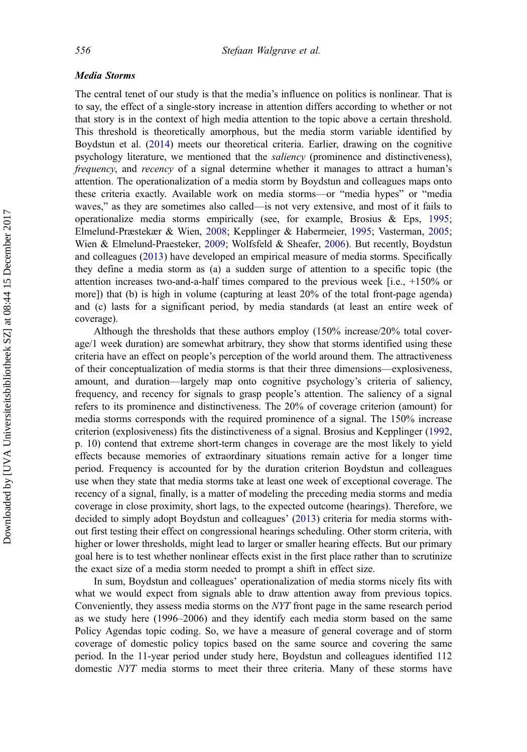#### Media Storms

The central tenet of our study is that the media's influence on politics is nonlinear. That is to say, the effect of a single-story increase in attention differs according to whether or not that story is in the context of high media attention to the topic above a certain threshold. This threshold is theoretically amorphous, but the media storm variable identified by Boydstun et al. ([2014\)](#page-18-0) meets our theoretical criteria. Earlier, drawing on the cognitive psychology literature, we mentioned that the saliency (prominence and distinctiveness), frequency, and recency of a signal determine whether it manages to attract a human's attention. The operationalization of a media storm by Boydstun and colleagues maps onto these criteria exactly. Available work on media storms—or "media hypes" or "media waves," as they are sometimes also called—is not very extensive, and most of it fails to operationalize media storms empirically (see, for example, Brosius & Eps, [1995;](#page-18-0) Elmelund-Præstekær & Wien, [2008](#page-18-0); Kepplinger & Habermeier, [1995](#page-18-0); Vasterman, [2005;](#page-19-0) Wien & Elmelund-Praesteker, [2009;](#page-20-0) Wolfsfeld & Sheafer, [2006](#page-20-0)). But recently, Boydstun and colleagues ([2013\)](#page-18-0) have developed an empirical measure of media storms. Specifically they define a media storm as (a) a sudden surge of attention to a specific topic (the attention increases two-and-a-half times compared to the previous week [i.e., +150% or more]) that (b) is high in volume (capturing at least 20% of the total front-page agenda) and (c) lasts for a significant period, by media standards (at least an entire week of coverage).

Although the thresholds that these authors employ (150% increase/20% total coverage/1 week duration) are somewhat arbitrary, they show that storms identified using these criteria have an effect on people's perception of the world around them. The attractiveness of their conceptualization of media storms is that their three dimensions—explosiveness, amount, and duration—largely map onto cognitive psychology's criteria of saliency, frequency, and recency for signals to grasp people's attention. The saliency of a signal refers to its prominence and distinctiveness. The 20% of coverage criterion (amount) for media storms corresponds with the required prominence of a signal. The 150% increase criterion (explosiveness) fits the distinctiveness of a signal. Brosius and Kepplinger ([1992,](#page-18-0) p. 10) contend that extreme short-term changes in coverage are the most likely to yield effects because memories of extraordinary situations remain active for a longer time period. Frequency is accounted for by the duration criterion Boydstun and colleagues use when they state that media storms take at least one week of exceptional coverage. The recency of a signal, finally, is a matter of modeling the preceding media storms and media coverage in close proximity, short lags, to the expected outcome (hearings). Therefore, we decided to simply adopt Boydstun and colleagues' ([2013\)](#page-18-0) criteria for media storms without first testing their effect on congressional hearings scheduling. Other storm criteria, with higher or lower thresholds, might lead to larger or smaller hearing effects. But our primary goal here is to test whether nonlinear effects exist in the first place rather than to scrutinize the exact size of a media storm needed to prompt a shift in effect size.

In sum, Boydstun and colleagues' operationalization of media storms nicely fits with what we would expect from signals able to draw attention away from previous topics. Conveniently, they assess media storms on the NYT front page in the same research period as we study here (1996–2006) and they identify each media storm based on the same Policy Agendas topic coding. So, we have a measure of general coverage and of storm coverage of domestic policy topics based on the same source and covering the same period. In the 11-year period under study here, Boydstun and colleagues identified 112 domestic NYT media storms to meet their three criteria. Many of these storms have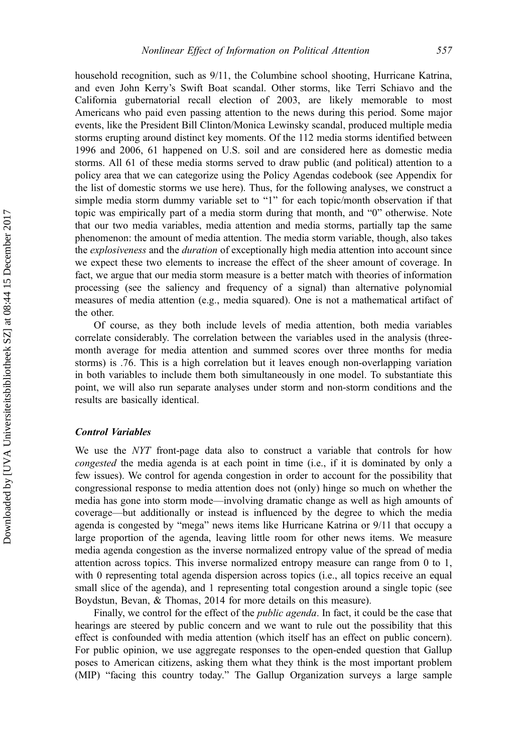household recognition, such as 9/11, the Columbine school shooting, Hurricane Katrina, and even John Kerry's Swift Boat scandal. Other storms, like Terri Schiavo and the California gubernatorial recall election of 2003, are likely memorable to most Americans who paid even passing attention to the news during this period. Some major events, like the President Bill Clinton/Monica Lewinsky scandal, produced multiple media storms erupting around distinct key moments. Of the 112 media storms identified between 1996 and 2006, 61 happened on U.S. soil and are considered here as domestic media storms. All 61 of these media storms served to draw public (and political) attention to a policy area that we can categorize using the Policy Agendas codebook (see Appendix for the list of domestic storms we use here). Thus, for the following analyses, we construct a simple media storm dummy variable set to "1" for each topic/month observation if that topic was empirically part of a media storm during that month, and "0" otherwise. Note that our two media variables, media attention and media storms, partially tap the same phenomenon: the amount of media attention. The media storm variable, though, also takes the *explosiveness* and the *duration* of exceptionally high media attention into account since we expect these two elements to increase the effect of the sheer amount of coverage. In fact, we argue that our media storm measure is a better match with theories of information processing (see the saliency and frequency of a signal) than alternative polynomial measures of media attention (e.g., media squared). One is not a mathematical artifact of the other.

Of course, as they both include levels of media attention, both media variables correlate considerably. The correlation between the variables used in the analysis (threemonth average for media attention and summed scores over three months for media storms) is .76. This is a high correlation but it leaves enough non-overlapping variation in both variables to include them both simultaneously in one model. To substantiate this point, we will also run separate analyses under storm and non-storm conditions and the results are basically identical.

#### Control Variables

We use the *NYT* front-page data also to construct a variable that controls for how congested the media agenda is at each point in time (i.e., if it is dominated by only a few issues). We control for agenda congestion in order to account for the possibility that congressional response to media attention does not (only) hinge so much on whether the media has gone into storm mode—involving dramatic change as well as high amounts of coverage—but additionally or instead is influenced by the degree to which the media agenda is congested by "mega" news items like Hurricane Katrina or 9/11 that occupy a large proportion of the agenda, leaving little room for other news items. We measure media agenda congestion as the inverse normalized entropy value of the spread of media attention across topics. This inverse normalized entropy measure can range from 0 to 1, with 0 representing total agenda dispersion across topics (i.e., all topics receive an equal small slice of the agenda), and 1 representing total congestion around a single topic (see Boydstun, Bevan, & Thomas, 2014 for more details on this measure).

Finally, we control for the effect of the public agenda. In fact, it could be the case that hearings are steered by public concern and we want to rule out the possibility that this effect is confounded with media attention (which itself has an effect on public concern). For public opinion, we use aggregate responses to the open-ended question that Gallup poses to American citizens, asking them what they think is the most important problem (MIP) "facing this country today." The Gallup Organization surveys a large sample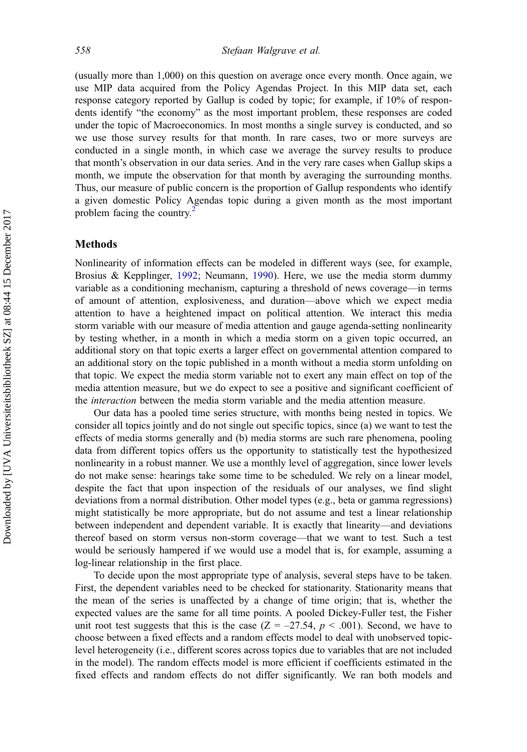(usually more than 1,000) on this question on average once every month. Once again, we use MIP data acquired from the Policy Agendas Project. In this MIP data set, each response category reported by Gallup is coded by topic; for example, if 10% of respondents identify "the economy" as the most important problem, these responses are coded under the topic of Macroeconomics. In most months a single survey is conducted, and so we use those survey results for that month. In rare cases, two or more surveys are conducted in a single month, in which case we average the survey results to produce that month's observation in our data series. And in the very rare cases when Gallup skips a month, we impute the observation for that month by averaging the surrounding months. Thus, our measure of public concern is the proportion of Gallup respondents who identify a given domestic Policy Agendas topic during a given month as the most important problem facing the country.<sup>[2](#page-17-0)</sup>

#### Methods

Nonlinearity of information effects can be modeled in different ways (see, for example, Brosius & Kepplinger, [1992](#page-18-0); Neumann, [1990](#page-19-0)). Here, we use the media storm dummy variable as a conditioning mechanism, capturing a threshold of news coverage—in terms of amount of attention, explosiveness, and duration—above which we expect media attention to have a heightened impact on political attention. We interact this media storm variable with our measure of media attention and gauge agenda-setting nonlinearity by testing whether, in a month in which a media storm on a given topic occurred, an additional story on that topic exerts a larger effect on governmental attention compared to an additional story on the topic published in a month without a media storm unfolding on that topic. We expect the media storm variable not to exert any main effect on top of the media attention measure, but we do expect to see a positive and significant coefficient of the interaction between the media storm variable and the media attention measure.

Our data has a pooled time series structure, with months being nested in topics. We consider all topics jointly and do not single out specific topics, since (a) we want to test the effects of media storms generally and (b) media storms are such rare phenomena, pooling data from different topics offers us the opportunity to statistically test the hypothesized nonlinearity in a robust manner. We use a monthly level of aggregation, since lower levels do not make sense: hearings take some time to be scheduled. We rely on a linear model, despite the fact that upon inspection of the residuals of our analyses, we find slight deviations from a normal distribution. Other model types (e.g., beta or gamma regressions) might statistically be more appropriate, but do not assume and test a linear relationship between independent and dependent variable. It is exactly that linearity—and deviations thereof based on storm versus non-storm coverage—that we want to test. Such a test would be seriously hampered if we would use a model that is, for example, assuming a log-linear relationship in the first place.

To decide upon the most appropriate type of analysis, several steps have to be taken. First, the dependent variables need to be checked for stationarity. Stationarity means that the mean of the series is unaffected by a change of time origin; that is, whether the expected values are the same for all time points. A pooled Dickey-Fuller test, the Fisher unit root test suggests that this is the case  $(Z = -27.54, p < .001)$ . Second, we have to choose between a fixed effects and a random effects model to deal with unobserved topiclevel heterogeneity (i.e., different scores across topics due to variables that are not included in the model). The random effects model is more efficient if coefficients estimated in the fixed effects and random effects do not differ significantly. We ran both models and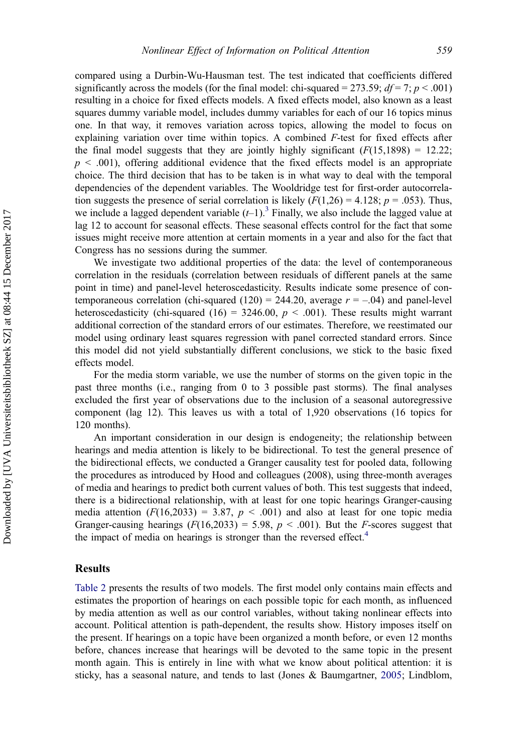compared using a Durbin-Wu-Hausman test. The test indicated that coefficients differed significantly across the models (for the final model: chi-squared = 273.59;  $df = 7$ ;  $p < .001$ ) resulting in a choice for fixed effects models. A fixed effects model, also known as a least squares dummy variable model, includes dummy variables for each of our 16 topics minus one. In that way, it removes variation across topics, allowing the model to focus on explaining variation over time within topics. A combined F-test for fixed effects after the final model suggests that they are jointly highly significant  $(F(15,1898) = 12.22;$  $p < .001$ ), offering additional evidence that the fixed effects model is an appropriate choice. The third decision that has to be taken is in what way to deal with the temporal dependencies of the dependent variables. The Wooldridge test for first-order autocorrelation suggests the presence of serial correlation is likely  $(F(1,26) = 4.128; p = .053)$ . Thus, we include a lagged dependent variable  $(t-1)$ .<sup>[3](#page-17-0)</sup> Finally, we also include the lagged value at lag 12 to account for seasonal effects. These seasonal effects control for the fact that some issues might receive more attention at certain moments in a year and also for the fact that Congress has no sessions during the summer.

We investigate two additional properties of the data: the level of contemporaneous correlation in the residuals (correlation between residuals of different panels at the same point in time) and panel-level heteroscedasticity. Results indicate some presence of contemporaneous correlation (chi-squared  $(120) = 244.20$ , average  $r = -.04$ ) and panel-level heteroscedasticity (chi-squared (16) = 3246.00,  $p < .001$ ). These results might warrant additional correction of the standard errors of our estimates. Therefore, we reestimated our model using ordinary least squares regression with panel corrected standard errors. Since this model did not yield substantially different conclusions, we stick to the basic fixed effects model.

For the media storm variable, we use the number of storms on the given topic in the past three months (i.e., ranging from 0 to 3 possible past storms). The final analyses excluded the first year of observations due to the inclusion of a seasonal autoregressive component (lag 12). This leaves us with a total of 1,920 observations (16 topics for 120 months).

An important consideration in our design is endogeneity; the relationship between hearings and media attention is likely to be bidirectional. To test the general presence of the bidirectional effects, we conducted a Granger causality test for pooled data, following the procedures as introduced by Hood and colleagues (2008), using three-month averages of media and hearings to predict both current values of both. This test suggests that indeed, there is a bidirectional relationship, with at least for one topic hearings Granger-causing media attention  $(F(16,2033) = 3.87, p < .001)$  and also at least for one topic media Granger-causing hearings  $(F(16, 2033) = 5.98, p < .001)$ . But the *F*-scores suggest that the impact of media on hearings is stronger than the reversed effect.<sup>[4](#page-17-0)</sup>

#### Results

[Table 2](#page-13-0) presents the results of two models. The first model only contains main effects and estimates the proportion of hearings on each possible topic for each month, as influenced by media attention as well as our control variables, without taking nonlinear effects into account. Political attention is path-dependent, the results show. History imposes itself on the present. If hearings on a topic have been organized a month before, or even 12 months before, chances increase that hearings will be devoted to the same topic in the present month again. This is entirely in line with what we know about political attention: it is sticky, has a seasonal nature, and tends to last (Jones & Baumgartner, [2005](#page-18-0); Lindblom,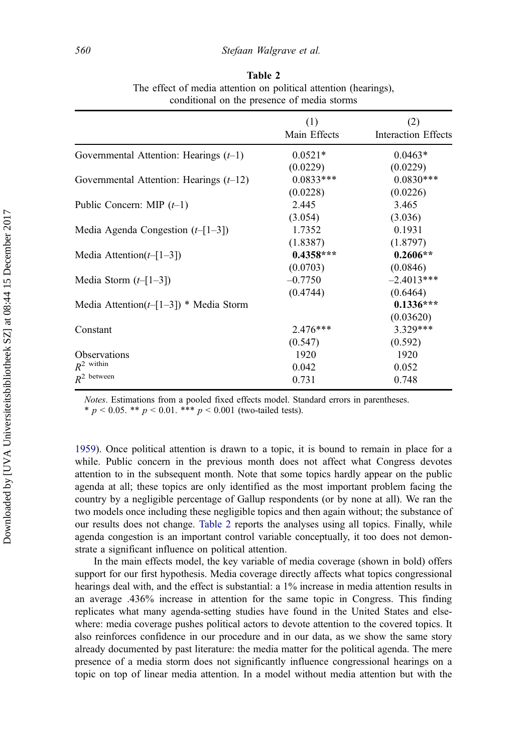<span id="page-13-0"></span>

|                                            | (1)<br>Main Effects | (2)<br>Interaction Effects |
|--------------------------------------------|---------------------|----------------------------|
| Governmental Attention: Hearings $(t-1)$   | $0.0521*$           | $0.0463*$                  |
|                                            | (0.0229)            | (0.0229)                   |
| Governmental Attention: Hearings $(t-12)$  | $0.0833***$         | $0.0830***$                |
|                                            | (0.0228)            | (0.0226)                   |
| Public Concern: MIP $(t-1)$                | 2.445               | 3.465                      |
|                                            | (3.054)             | (3.036)                    |
| Media Agenda Congestion $(t-[1-3])$        | 1.7352              | 0.1931                     |
|                                            | (1.8387)            | (1.8797)                   |
| Media Attention( $t-[1-3]$ )               | $0.4358***$         | $0.2606**$                 |
|                                            | (0.0703)            | (0.0846)                   |
| Media Storm $(t-[1-3])$                    | $-0.7750$           | $-2.4013***$               |
|                                            | (0.4744)            | (0.6464)                   |
| Media Attention( $t-[1-3]$ ) * Media Storm |                     | $0.1336***$                |
|                                            |                     | (0.03620)                  |
| Constant                                   | $2.476***$          | 3.329***                   |
|                                            | (0.547)             | (0.592)                    |
| Observations                               | 1920                | 1920                       |
| $R^2$ within                               | 0.042               | 0.052                      |
| $R^2$ between                              | 0.731               | 0.748                      |

Table 2 The effect of media attention on political attention (hearings), conditional on the presence of media storms

Notes. Estimations from a pooled fixed effects model. Standard errors in parentheses. \*  $p < 0.05$ . \*\*  $p < 0.01$ . \*\*\*  $p < 0.001$  (two-tailed tests).

[1959\)](#page-19-0). Once political attention is drawn to a topic, it is bound to remain in place for a while. Public concern in the previous month does not affect what Congress devotes attention to in the subsequent month. Note that some topics hardly appear on the public agenda at all; these topics are only identified as the most important problem facing the country by a negligible percentage of Gallup respondents (or by none at all). We ran the two models once including these negligible topics and then again without; the substance of our results does not change. Table 2 reports the analyses using all topics. Finally, while agenda congestion is an important control variable conceptually, it too does not demonstrate a significant influence on political attention.

In the main effects model, the key variable of media coverage (shown in bold) offers support for our first hypothesis. Media coverage directly affects what topics congressional hearings deal with, and the effect is substantial: a 1% increase in media attention results in an average .436% increase in attention for the same topic in Congress. This finding replicates what many agenda-setting studies have found in the United States and elsewhere: media coverage pushes political actors to devote attention to the covered topics. It also reinforces confidence in our procedure and in our data, as we show the same story already documented by past literature: the media matter for the political agenda. The mere presence of a media storm does not significantly influence congressional hearings on a topic on top of linear media attention. In a model without media attention but with the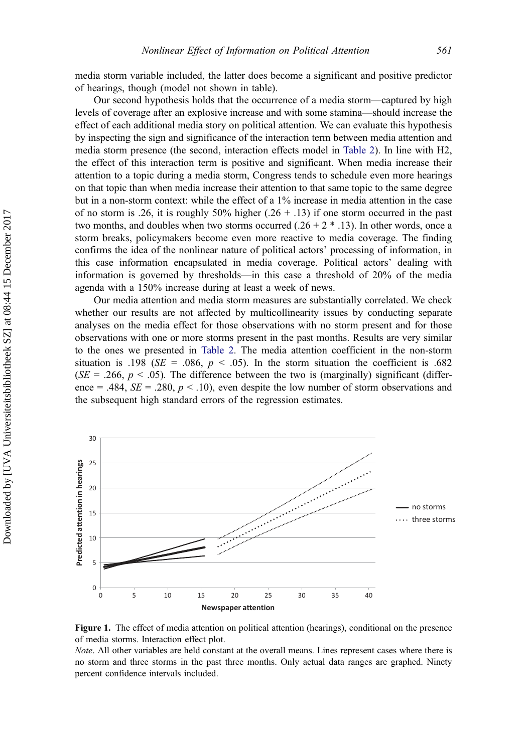<span id="page-14-0"></span>media storm variable included, the latter does become a significant and positive predictor of hearings, though (model not shown in table).

Our second hypothesis holds that the occurrence of a media storm—captured by high levels of coverage after an explosive increase and with some stamina—should increase the effect of each additional media story on political attention. We can evaluate this hypothesis by inspecting the sign and significance of the interaction term between media attention and media storm presence (the second, interaction effects model in [Table 2](#page-13-0)). In line with H2, the effect of this interaction term is positive and significant. When media increase their attention to a topic during a media storm, Congress tends to schedule even more hearings on that topic than when media increase their attention to that same topic to the same degree but in a non-storm context: while the effect of a 1% increase in media attention in the case of no storm is .26, it is roughly 50% higher  $(.26 + .13)$  if one storm occurred in the past two months, and doubles when two storms occurred  $(.26 + 2 * .13)$ . In other words, once a storm breaks, policymakers become even more reactive to media coverage. The finding confirms the idea of the nonlinear nature of political actors' processing of information, in this case information encapsulated in media coverage. Political actors' dealing with information is governed by thresholds—in this case a threshold of 20% of the media agenda with a 150% increase during at least a week of news.

Our media attention and media storm measures are substantially correlated. We check whether our results are not affected by multicollinearity issues by conducting separate analyses on the media effect for those observations with no storm present and for those observations with one or more storms present in the past months. Results are very similar to the ones we presented in [Table 2.](#page-13-0) The media attention coefficient in the non-storm situation is .198 ( $SE = .086$ ,  $p < .05$ ). In the storm situation the coefficient is .682 ( $SE = .266$ ,  $p < .05$ ). The difference between the two is (marginally) significant (difference = .484,  $SE = .280$ ,  $p < .10$ ), even despite the low number of storm observations and the subsequent high standard errors of the regression estimates.



Figure 1. The effect of media attention on political attention (hearings), conditional on the presence of media storms. Interaction effect plot.

Note. All other variables are held constant at the overall means. Lines represent cases where there is no storm and three storms in the past three months. Only actual data ranges are graphed. Ninety percent confidence intervals included.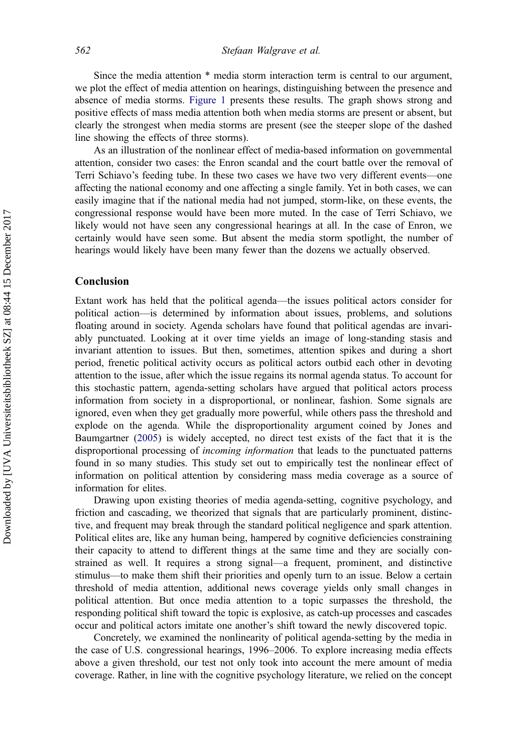Since the media attention \* media storm interaction term is central to our argument, we plot the effect of media attention on hearings, distinguishing between the presence and absence of media storms. [Figure 1](#page-14-0) presents these results. The graph shows strong and positive effects of mass media attention both when media storms are present or absent, but clearly the strongest when media storms are present (see the steeper slope of the dashed line showing the effects of three storms).

As an illustration of the nonlinear effect of media-based information on governmental attention, consider two cases: the Enron scandal and the court battle over the removal of Terri Schiavo's feeding tube. In these two cases we have two very different events—one affecting the national economy and one affecting a single family. Yet in both cases, we can easily imagine that if the national media had not jumped, storm-like, on these events, the congressional response would have been more muted. In the case of Terri Schiavo, we likely would not have seen any congressional hearings at all. In the case of Enron, we certainly would have seen some. But absent the media storm spotlight, the number of hearings would likely have been many fewer than the dozens we actually observed.

#### Conclusion

Extant work has held that the political agenda—the issues political actors consider for political action—is determined by information about issues, problems, and solutions floating around in society. Agenda scholars have found that political agendas are invariably punctuated. Looking at it over time yields an image of long-standing stasis and invariant attention to issues. But then, sometimes, attention spikes and during a short period, frenetic political activity occurs as political actors outbid each other in devoting attention to the issue, after which the issue regains its normal agenda status. To account for this stochastic pattern, agenda-setting scholars have argued that political actors process information from society in a disproportional, or nonlinear, fashion. Some signals are ignored, even when they get gradually more powerful, while others pass the threshold and explode on the agenda. While the disproportionality argument coined by Jones and Baumgartner [\(2005](#page-18-0)) is widely accepted, no direct test exists of the fact that it is the disproportional processing of *incoming information* that leads to the punctuated patterns found in so many studies. This study set out to empirically test the nonlinear effect of information on political attention by considering mass media coverage as a source of information for elites.

Drawing upon existing theories of media agenda-setting, cognitive psychology, and friction and cascading, we theorized that signals that are particularly prominent, distinctive, and frequent may break through the standard political negligence and spark attention. Political elites are, like any human being, hampered by cognitive deficiencies constraining their capacity to attend to different things at the same time and they are socially constrained as well. It requires a strong signal—a frequent, prominent, and distinctive stimulus—to make them shift their priorities and openly turn to an issue. Below a certain threshold of media attention, additional news coverage yields only small changes in political attention. But once media attention to a topic surpasses the threshold, the responding political shift toward the topic is explosive, as catch-up processes and cascades occur and political actors imitate one another's shift toward the newly discovered topic.

Concretely, we examined the nonlinearity of political agenda-setting by the media in the case of U.S. congressional hearings, 1996–2006. To explore increasing media effects above a given threshold, our test not only took into account the mere amount of media coverage. Rather, in line with the cognitive psychology literature, we relied on the concept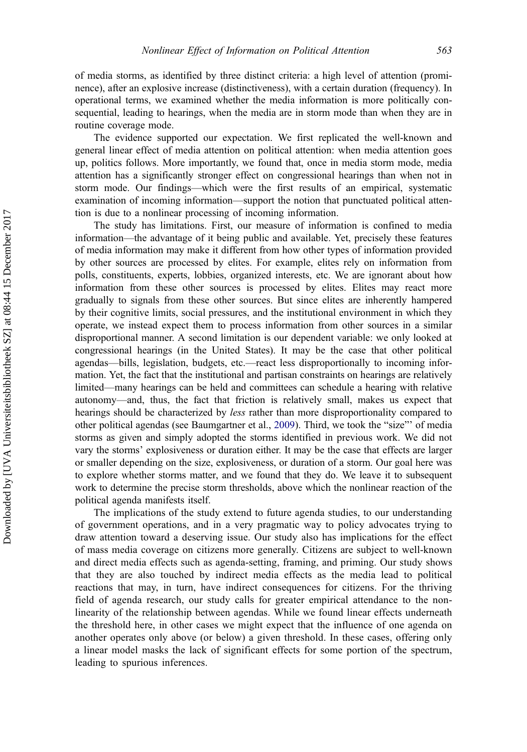of media storms, as identified by three distinct criteria: a high level of attention (prominence), after an explosive increase (distinctiveness), with a certain duration (frequency). In operational terms, we examined whether the media information is more politically consequential, leading to hearings, when the media are in storm mode than when they are in routine coverage mode.

The evidence supported our expectation. We first replicated the well-known and general linear effect of media attention on political attention: when media attention goes up, politics follows. More importantly, we found that, once in media storm mode, media attention has a significantly stronger effect on congressional hearings than when not in storm mode. Our findings—which were the first results of an empirical, systematic examination of incoming information—support the notion that punctuated political attention is due to a nonlinear processing of incoming information.

The study has limitations. First, our measure of information is confined to media information—the advantage of it being public and available. Yet, precisely these features of media information may make it different from how other types of information provided by other sources are processed by elites. For example, elites rely on information from polls, constituents, experts, lobbies, organized interests, etc. We are ignorant about how information from these other sources is processed by elites. Elites may react more gradually to signals from these other sources. But since elites are inherently hampered by their cognitive limits, social pressures, and the institutional environment in which they operate, we instead expect them to process information from other sources in a similar disproportional manner. A second limitation is our dependent variable: we only looked at congressional hearings (in the United States). It may be the case that other political agendas—bills, legislation, budgets, etc.—react less disproportionally to incoming information. Yet, the fact that the institutional and partisan constraints on hearings are relatively limited—many hearings can be held and committees can schedule a hearing with relative autonomy—and, thus, the fact that friction is relatively small, makes us expect that hearings should be characterized by less rather than more disproportionality compared to other political agendas (see Baumgartner et al., [2009](#page-17-0)). Third, we took the "size"' of media storms as given and simply adopted the storms identified in previous work. We did not vary the storms' explosiveness or duration either. It may be the case that effects are larger or smaller depending on the size, explosiveness, or duration of a storm. Our goal here was to explore whether storms matter, and we found that they do. We leave it to subsequent work to determine the precise storm thresholds, above which the nonlinear reaction of the political agenda manifests itself.

The implications of the study extend to future agenda studies, to our understanding of government operations, and in a very pragmatic way to policy advocates trying to draw attention toward a deserving issue. Our study also has implications for the effect of mass media coverage on citizens more generally. Citizens are subject to well-known and direct media effects such as agenda-setting, framing, and priming. Our study shows that they are also touched by indirect media effects as the media lead to political reactions that may, in turn, have indirect consequences for citizens. For the thriving field of agenda research, our study calls for greater empirical attendance to the nonlinearity of the relationship between agendas. While we found linear effects underneath the threshold here, in other cases we might expect that the influence of one agenda on another operates only above (or below) a given threshold. In these cases, offering only a linear model masks the lack of significant effects for some portion of the spectrum, leading to spurious inferences.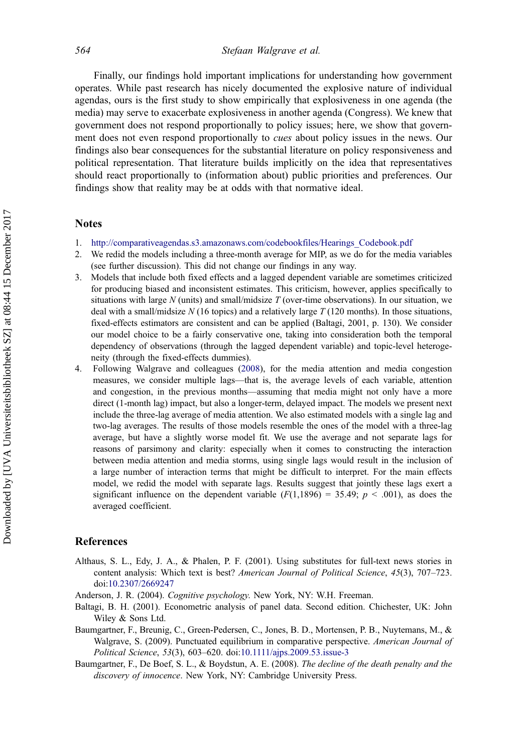<span id="page-17-0"></span>Finally, our findings hold important implications for understanding how government operates. While past research has nicely documented the explosive nature of individual agendas, ours is the first study to show empirically that explosiveness in one agenda (the media) may serve to exacerbate explosiveness in another agenda (Congress). We knew that government does not respond proportionally to policy issues; here, we show that government does not even respond proportionally to *cues* about policy issues in the news. Our findings also bear consequences for the substantial literature on policy responsiveness and political representation. That literature builds implicitly on the idea that representatives should react proportionally to (information about) public priorities and preferences. Our findings show that reality may be at odds with that normative ideal.

#### **Notes**

- 1. [http://comparativeagendas.s3.amazonaws.com/codebookfiles/Hearings\\_Codebook.pdf](http://comparativeagendas.s3.amazonaws.com/codebookfiles/Hearings_Codebook.pdf)
- 2. We redid the models including a three-month average for MIP, as we do for the media variables (see further discussion). This did not change our findings in any way.
- 3. Models that include both fixed effects and a lagged dependent variable are sometimes criticized for producing biased and inconsistent estimates. This criticism, however, applies specifically to situations with large N (units) and small/midsize T (over-time observations). In our situation, we deal with a small/midsize  $N$  (16 topics) and a relatively large  $T$  (120 months). In those situations, fixed-effects estimators are consistent and can be applied (Baltagi, 2001, p. 130). We consider our model choice to be a fairly conservative one, taking into consideration both the temporal dependency of observations (through the lagged dependent variable) and topic-level heterogeneity (through the fixed-effects dummies).
- 4. Following Walgrave and colleagues ([2008\)](#page-19-0), for the media attention and media congestion measures, we consider multiple lags—that is, the average levels of each variable, attention and congestion, in the previous months—assuming that media might not only have a more direct (1-month lag) impact, but also a longer-term, delayed impact. The models we present next include the three-lag average of media attention. We also estimated models with a single lag and two-lag averages. The results of those models resemble the ones of the model with a three-lag average, but have a slightly worse model fit. We use the average and not separate lags for reasons of parsimony and clarity: especially when it comes to constructing the interaction between media attention and media storms, using single lags would result in the inclusion of a large number of interaction terms that might be difficult to interpret. For the main effects model, we redid the model with separate lags. Results suggest that jointly these lags exert a significant influence on the dependent variable  $(F(1,1896) = 35.49; p < .001)$ , as does the averaged coefficient.

#### References

Althaus, S. L., Edy, J. A., & Phalen, P. F. (2001). Using substitutes for full-text news stories in content analysis: Which text is best? American Journal of Political Science, 45(3), 707-723. doi[:10.2307/2669247](http://dx.doi.org/10.2307/2669247)

Anderson, J. R. (2004). Cognitive psychology. New York, NY: W.H. Freeman.

- Baltagi, B. H. (2001). Econometric analysis of panel data. Second edition. Chichester, UK: John Wiley & Sons Ltd.
- Baumgartner, F., Breunig, C., Green-Pedersen, C., Jones, B. D., Mortensen, P. B., Nuytemans, M., & Walgrave, S. (2009). Punctuated equilibrium in comparative perspective. American Journal of Political Science, 53(3), 603–620. doi[:10.1111/ajps.2009.53.issue-3](http://dx.doi.org/10.1111/ajps.2009.53.issue-3)
- Baumgartner, F., De Boef, S. L., & Boydstun, A. E. (2008). The decline of the death penalty and the discovery of innocence. New York, NY: Cambridge University Press.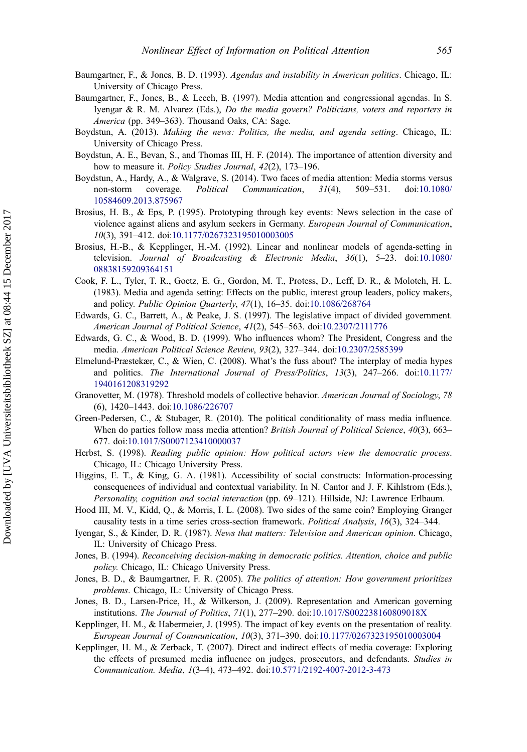- <span id="page-18-0"></span>Baumgartner, F., & Jones, B. D. (1993). Agendas and instability in American politics. Chicago, IL: University of Chicago Press.
- Baumgartner, F., Jones, B., & Leech, B. (1997). Media attention and congressional agendas. In S. Iyengar & R. M. Alvarez (Eds.), Do the media govern? Politicians, voters and reporters in America (pp. 349–363). Thousand Oaks, CA: Sage.
- Boydstun, A. (2013). Making the news: Politics, the media, and agenda setting. Chicago, IL: University of Chicago Press.
- Boydstun, A. E., Bevan, S., and Thomas III, H. F. (2014). The importance of attention diversity and how to measure it. Policy Studies Journal, 42(2), 173-196.
- Boydstun, A., Hardy, A., & Walgrave, S. (2014). Two faces of media attention: Media storms versus non-storm coverage. Political Communication, 31(4), 509–531. doi:[10.1080/](http://dx.doi.org/10.1080/10584609.2013.875967) [10584609.2013.875967](http://dx.doi.org/10.1080/10584609.2013.875967)
- Brosius, H. B., & Eps, P. (1995). Prototyping through key events: News selection in the case of violence against aliens and asylum seekers in Germany. European Journal of Communication, 10(3), 391–412. doi:[10.1177/0267323195010003005](http://dx.doi.org/10.1177/0267323195010003005)
- Brosius, H.-B., & Kepplinger, H.-M. (1992). Linear and nonlinear models of agenda-setting in television. Journal of Broadcasting & Electronic Media, 36(1), 5–23. doi:[10.1080/](http://dx.doi.org/10.1080/08838159209364151) [08838159209364151](http://dx.doi.org/10.1080/08838159209364151)
- Cook, F. L., Tyler, T. R., Goetz, E. G., Gordon, M. T., Protess, D., Leff, D. R., & Molotch, H. L. (1983). Media and agenda setting: Effects on the public, interest group leaders, policy makers, and policy. Public Opinion Quarterly, 47(1), 16–35. doi[:10.1086/268764](http://dx.doi.org/10.1086/268764)
- Edwards, G. C., Barrett, A., & Peake, J. S. (1997). The legislative impact of divided government. American Journal of Political Science, 41(2), 545–563. doi[:10.2307/2111776](http://dx.doi.org/10.2307/2111776)
- Edwards, G. C., & Wood, B. D. (1999). Who influences whom? The President, Congress and the media. American Political Science Review, 93(2), 327–344. doi:[10.2307/2585399](http://dx.doi.org/10.2307/2585399)
- Elmelund-Præstekær, C., & Wien, C. (2008). What's the fuss about? The interplay of media hypes and politics. The International Journal of Press/Politics, 13(3), 247–266. doi[:10.1177/](http://dx.doi.org/10.1177/1940161208319292) [1940161208319292](http://dx.doi.org/10.1177/1940161208319292)
- Granovetter, M. (1978). Threshold models of collective behavior. American Journal of Sociology, 78 (6), 1420–1443. doi:[10.1086/226707](http://dx.doi.org/10.1086/226707)
- Green-Pedersen, C., & Stubager, R. (2010). The political conditionality of mass media influence. When do parties follow mass media attention? British Journal of Political Science, 40(3), 663– 677. doi[:10.1017/S0007123410000037](http://dx.doi.org/10.1017/S0007123410000037)
- Herbst, S. (1998). Reading public opinion: How political actors view the democratic process. Chicago, IL: Chicago University Press.
- Higgins, E. T., & King, G. A. (1981). Accessibility of social constructs: Information-processing consequences of individual and contextual variability. In N. Cantor and J. F. Kihlstrom (Eds.), Personality, cognition and social interaction (pp. 69–121). Hillside, NJ: Lawrence Erlbaum.
- Hood III, M. V., Kidd, Q., & Morris, I. L. (2008). Two sides of the same coin? Employing Granger causality tests in a time series cross-section framework. Political Analysis, 16(3), 324–344.
- Iyengar, S., & Kinder, D. R. (1987). News that matters: Television and American opinion. Chicago, IL: University of Chicago Press.
- Jones, B. (1994). Reconceiving decision-making in democratic politics. Attention, choice and public policy. Chicago, IL: Chicago University Press.
- Jones, B. D., & Baumgartner, F. R. (2005). The politics of attention: How government prioritizes problems. Chicago, IL: University of Chicago Press.
- Jones, B. D., Larsen-Price, H., & Wilkerson, J. (2009). Representation and American governing institutions. The Journal of Politics, 71(1), 277–290. doi[:10.1017/S002238160809018X](http://dx.doi.org/10.1017/S002238160809018X)
- Kepplinger, H. M., & Habermeier, J. (1995). The impact of key events on the presentation of reality. European Journal of Communication, 10(3), 371–390. doi[:10.1177/0267323195010003004](http://dx.doi.org/10.1177/0267323195010003004)
- Kepplinger, H. M., & Zerback, T. (2007). Direct and indirect effects of media coverage: Exploring the effects of presumed media influence on judges, prosecutors, and defendants. Studies in Communication. Media, 1(3–4), 473–492. doi[:10.5771/2192-4007-2012-3-473](http://dx.doi.org/10.5771/2192-4007-2012-3-473)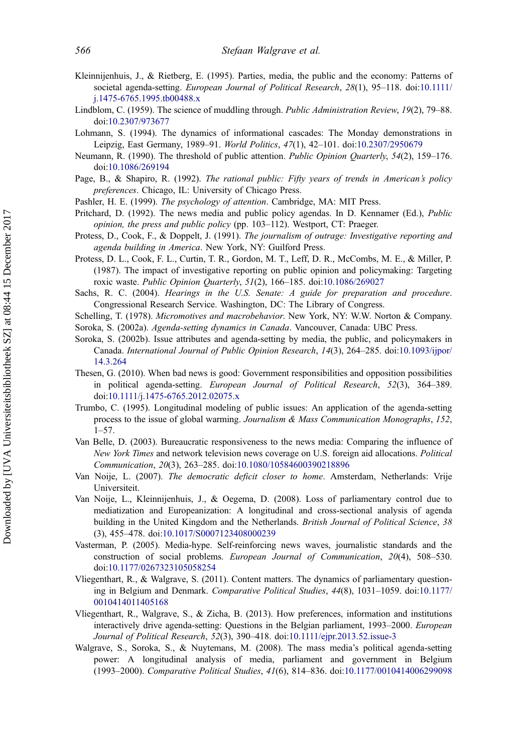- <span id="page-19-0"></span>Kleinnijenhuis, J., & Rietberg, E. (1995). Parties, media, the public and the economy: Patterns of societal agenda-setting. European Journal of Political Research, 28(1), 95–118. doi:[10.1111/](http://dx.doi.org/10.1111/j.1475-6765.1995.tb00488.x) [j.1475-6765.1995.tb00488.x](http://dx.doi.org/10.1111/j.1475-6765.1995.tb00488.x)
- Lindblom, C. (1959). The science of muddling through. Public Administration Review, 19(2), 79–88. doi[:10.2307/973677](http://dx.doi.org/10.2307/973677)
- Lohmann, S. (1994). The dynamics of informational cascades: The Monday demonstrations in Leipzig, East Germany, 1989–91. World Politics, 47(1), 42–101. doi[:10.2307/2950679](http://dx.doi.org/10.2307/2950679)
- Neumann, R. (1990). The threshold of public attention. Public Opinion Quarterly, 54(2), 159–176. doi[:10.1086/269194](http://dx.doi.org/10.1086/269194)
- Page, B., & Shapiro, R. (1992). The rational public: Fifty years of trends in American's policy preferences. Chicago, IL: University of Chicago Press.
- Pashler, H. E. (1999). The psychology of attention. Cambridge, MA: MIT Press.
- Pritchard, D. (1992). The news media and public policy agendas. In D. Kennamer (Ed.), Public opinion, the press and public policy (pp. 103–112). Westport, CT: Praeger.
- Protess, D., Cook, F., & Doppelt, J. (1991). The journalism of outrage: Investigative reporting and agenda building in America. New York, NY: Guilford Press.
- Protess, D. L., Cook, F. L., Curtin, T. R., Gordon, M. T., Leff, D. R., McCombs, M. E., & Miller, P. (1987). The impact of investigative reporting on public opinion and policymaking: Targeting roxic waste. Public Opinion Quarterly, 51(2), 166–185. doi[:10.1086/269027](http://dx.doi.org/10.1086/269027)
- Sachs, R. C. (2004). Hearings in the U.S. Senate: A guide for preparation and procedure. Congressional Research Service. Washington, DC: The Library of Congress.
- Schelling, T. (1978). Micromotives and macrobehavior. New York, NY: W.W. Norton & Company. Soroka, S. (2002a). Agenda-setting dynamics in Canada. Vancouver, Canada: UBC Press.
- Soroka, S. (2002b). Issue attributes and agenda-setting by media, the public, and policymakers in Canada. International Journal of Public Opinion Research, 14(3), 264–285. doi:[10.1093/ijpor/](http://dx.doi.org/10.1093/ijpor/14.3.264) [14.3.264](http://dx.doi.org/10.1093/ijpor/14.3.264)
- Thesen, G. (2010). When bad news is good: Government responsibilities and opposition possibilities in political agenda-setting. European Journal of Political Research, 52(3), 364–389. doi[:10.1111/j.1475-6765.2012.02075.x](http://dx.doi.org/10.1111/j.1475-6765.2012.02075.x)
- Trumbo, C. (1995). Longitudinal modeling of public issues: An application of the agenda-setting process to the issue of global warming. Journalism & Mass Communication Monographs, 152, 1–57.
- Van Belle, D. (2003). Bureaucratic responsiveness to the news media: Comparing the influence of New York Times and network television news coverage on U.S. foreign aid allocations. Political Communication, 20(3), 263–285. doi:[10.1080/10584600390218896](http://dx.doi.org/10.1080/10584600390218896)
- Van Noije, L. (2007). The democratic deficit closer to home. Amsterdam, Netherlands: Vrije Universiteit.
- Van Noije, L., Kleinnijenhuis, J., & Oegema, D. (2008). Loss of parliamentary control due to mediatization and Europeanization: A longitudinal and cross-sectional analysis of agenda building in the United Kingdom and the Netherlands. British Journal of Political Science, 38 (3), 455–478. doi:[10.1017/S0007123408000239](http://dx.doi.org/10.1017/S0007123408000239)
- Vasterman, P. (2005). Media-hype. Self-reinforcing news waves, journalistic standards and the construction of social problems. European Journal of Communication, 20(4), 508–530. doi[:10.1177/0267323105058254](http://dx.doi.org/10.1177/0267323105058254)
- Vliegenthart, R., & Walgrave, S. (2011). Content matters. The dynamics of parliamentary questioning in Belgium and Denmark. Comparative Political Studies, 44(8), 1031–1059. doi[:10.1177/](http://dx.doi.org/10.1177/0010414011405168) [0010414011405168](http://dx.doi.org/10.1177/0010414011405168)
- Vliegenthart, R., Walgrave, S., & Zicha, B. (2013). How preferences, information and institutions interactively drive agenda-setting: Questions in the Belgian parliament, 1993–2000. European Journal of Political Research, 52(3), 390–418. doi[:10.1111/ejpr.2013.52.issue-3](http://dx.doi.org/10.1111/ejpr.2013.52.issue-3)
- Walgrave, S., Soroka, S., & Nuytemans, M. (2008). The mass media's political agenda-setting power: A longitudinal analysis of media, parliament and government in Belgium (1993–2000). Comparative Political Studies, 41(6), 814–836. doi[:10.1177/0010414006299098](http://dx.doi.org/10.1177/0010414006299098)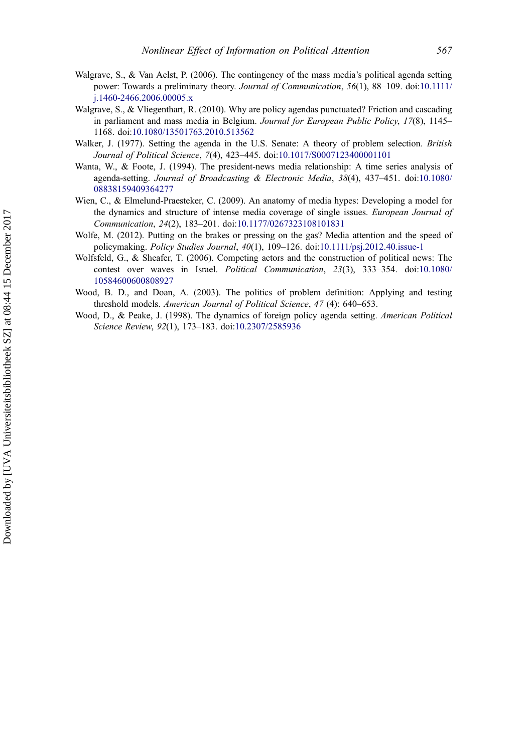- <span id="page-20-0"></span>Walgrave, S., & Van Aelst, P. (2006). The contingency of the mass media's political agenda setting power: Towards a preliminary theory. Journal of Communication, 56(1), 88-109. doi:[10.1111/](http://dx.doi.org/10.1111/j.1460-2466.2006.00005.x) [j.1460-2466.2006.00005.x](http://dx.doi.org/10.1111/j.1460-2466.2006.00005.x)
- Walgrave, S., & Vliegenthart, R. (2010). Why are policy agendas punctuated? Friction and cascading in parliament and mass media in Belgium. Journal for European Public Policy, 17(8), 1145-1168. doi[:10.1080/13501763.2010.513562](http://dx.doi.org/10.1080/13501763.2010.513562)
- Walker, J. (1977). Setting the agenda in the U.S. Senate: A theory of problem selection. British Journal of Political Science, 7(4), 423–445. doi[:10.1017/S0007123400001101](http://dx.doi.org/10.1017/S0007123400001101)
- Wanta, W., & Foote, J. (1994). The president-news media relationship: A time series analysis of agenda-setting. Journal of Broadcasting & Electronic Media, 38(4), 437–451. doi:[10.1080/](http://dx.doi.org/10.1080/08838159409364277) [08838159409364277](http://dx.doi.org/10.1080/08838159409364277)
- Wien, C., & Elmelund-Praesteker, C. (2009). An anatomy of media hypes: Developing a model for the dynamics and structure of intense media coverage of single issues. European Journal of Communication, 24(2), 183–201. doi:[10.1177/0267323108101831](http://dx.doi.org/10.1177/0267323108101831)
- Wolfe, M. (2012). Putting on the brakes or pressing on the gas? Media attention and the speed of policymaking. Policy Studies Journal, 40(1), 109–126. doi:[10.1111/psj.2012.40.issue-1](http://dx.doi.org/10.1111/psj.2012.40.issue-1)
- Wolfsfeld, G., & Sheafer, T. (2006). Competing actors and the construction of political news: The contest over waves in Israel. Political Communication, 23(3), 333–354. doi:[10.1080/](http://dx.doi.org/10.1080/10584600600808927) [10584600600808927](http://dx.doi.org/10.1080/10584600600808927)
- Wood, B. D., and Doan, A. (2003). The politics of problem definition: Applying and testing threshold models. American Journal of Political Science, 47 (4): 640–653.
- Wood, D., & Peake, J. (1998). The dynamics of foreign policy agenda setting. American Political Science Review, 92(1), 173–183. doi:[10.2307/2585936](http://dx.doi.org/10.2307/2585936)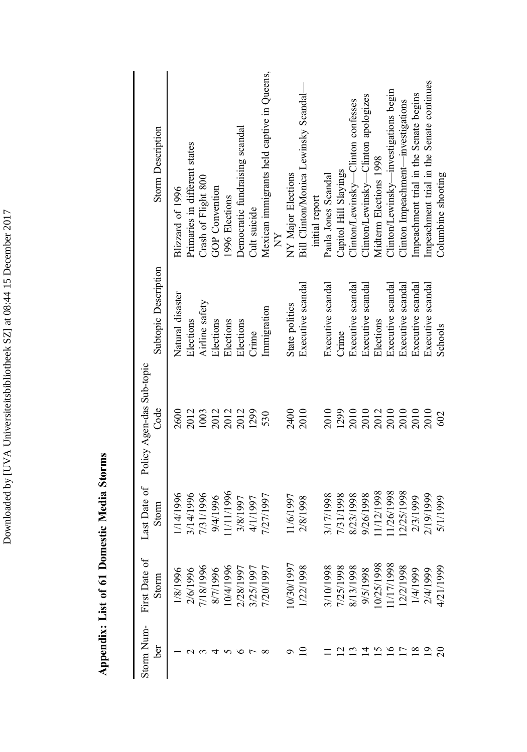Downloaded by [UVA Universiteitsbibliotheek SZ] at 08:44 15 December 2017 Downloaded by [UVA Universiteitsbibliotheek SZ] at 08:44 15 December 2017

Appendix: List of 61 Domestic Media Storms Appendix: List of 61 Domestic Media Storms

| <b>Storm Description</b>          | Primaries in different states<br>Blizzard of 1996 | Crash of Flight 800 | GOP Convention | 1996 Elections | Democratic fundraising scandal | Cult suicide | Mexican immigrants held captive in Queens,<br>È | NY Major Elections | Bill Clinton/Monica Lewinsky Scandal- | initial report | Paula Jones Scandal | Capitol Hill Slayings | Clinton/Lewinsky—Clinton confesses | Clinton/Lewinsky--Clinton apologizes | Midterm Elections 1998 | Clinton/Lewinsky—investigations begin | Clinton Impeachment—investigations | Impeachment trial in the Senate begins | Impeachment trial in the Senate continues | Columbine shooting |
|-----------------------------------|---------------------------------------------------|---------------------|----------------|----------------|--------------------------------|--------------|-------------------------------------------------|--------------------|---------------------------------------|----------------|---------------------|-----------------------|------------------------------------|--------------------------------------|------------------------|---------------------------------------|------------------------------------|----------------------------------------|-------------------------------------------|--------------------|
| Subtopic Description              | Natural disaster<br>Elections                     | Airline safety      | Elections      | Elections      | Elections                      | Crime        | Immigration                                     | State politics     | Executive scandal                     |                | Executive scandal   | Crime                 | Executive scandal                  | Executive scandal                    | Elections              | Executive scandal                     | Executive scandal                  | Executive scandal                      | Executive scandal                         | Schools            |
| Policy Agen-das Sub-topic<br>Code | 2012<br>2600                                      | 1003                | 2012<br>2012   |                | 2012                           | 1299         | 530                                             | 2400               | 2010                                  |                | 2010                | 1299                  | 2010                               | 2010<br>2012<br>2010                 |                        |                                       | 2010                               | 2010                                   | 2010                                      | 602                |
| Last Date of<br>Storm             | 3/14/1996<br>1/14/1996                            | 7/31/1996           | 9/4/1996       | 11/11/1996     | 3/8/1997                       | 4/1/1997     | 7/27/1997                                       | 11/6/1997          | 2/8/1998                              |                | 3/17/1998           | 7/31/1998             | 8/23/1998                          | 9/26/1998                            | 11/12/1998             | 11/26/1998                            | 12/25/1998                         | 2/3/1999                               | 2/19/1999                                 | 5/1/1999           |
| First Date of<br>Storm            | 16/1996<br>18/1996                                | 7/18/1996           | 8/7/1996       | 10/4/1996      | 28/1997                        | 125/1997     | 720/1997                                        | 0/30/1997          | /22/1998                              |                | 3/10/1998           | 1/25/1998             | 8/13/1998                          | 9/5/1998                             | 0/25/1998              | 1/17/1998                             | 12/2/1998                          | 1/4/1999                               | 2/4/1999                                  | 4/21/1999          |
| Storm Num-<br>ber                 |                                                   |                     |                |                |                                |              |                                                 |                    |                                       |                |                     |                       |                                    |                                      |                        |                                       |                                    |                                        |                                           |                    |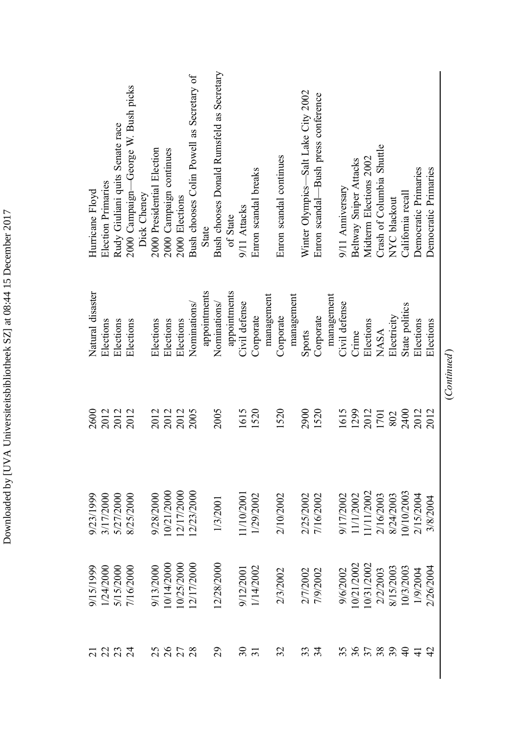$(Continued) % \begin{minipage}[b]{0.5\linewidth} \centering \centerline{\includegraphics[width=0.5\linewidth]{images/STM1000.pdf} \centerline{\includegraphics[width=0.5\linewidth]{images/STM1000.pdf} \centerline{\includegraphics[width=0.5\linewidth]{images/STM1000.pdf} \centerline{\includegraphics[width=0.5\linewidth]{images/STM1000.pdf} \centerline{\includegraphics[width=0.5\linewidth]{images/STM1000.pdf} \centerline{\includegraphics[width=0.5\linewidth]{images/STM1000.pdf} \centerline{\includegraphics[width=0.5\linewidth]{images/STM1000.pdf} \centerline{\includegraphics[width=0.5\linewidth]{images/STM100$ (Continued)

Downloaded by [UVA Universiteitsbibliotheek SZ] at 08:44 15 December 2017 Downloaded by [UVA Universiteitsbibliotheek SZ] at 08:44 15 December 2017